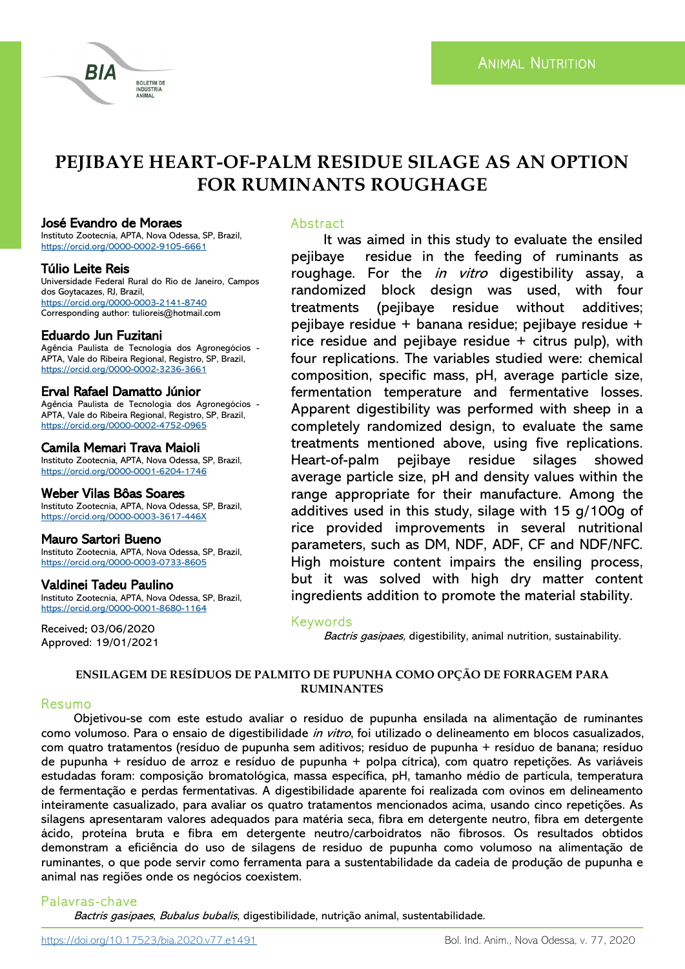# **PEJIBAYE HEART-OF-PALM RESIDUE SILAGE AS AN OPTION FOR RUMINANTS ROUGHAGE**

#### José Evandro de Moraes

RIA

Instituto Zootecnia, APTA, Nova Odessa, SP, Brazil, <https://orcid.org/0000-0002-9105-6661>

**BOLETIM DE NDÚSTRIA ANIMAL** 

#### Túlio Leite Reis

Universidade Federal Rural do Rio de Janeiro, Campos dos Goytacazes, RJ, Brazil, <https://orcid.org/0000-0003-2141-8740> Corresponding author: tulioreis@hotmail.com

# Eduardo Jun Fuzitani

Agência Paulista de Tecnologia dos Agronegócios - APTA, Vale do Ribeira Regional, Registro, SP, Brazil, <https://orcid.org/0000-0002-3236-3661>

# Erval Rafael Damatto Júnior

Agência Paulista de Tecnologia dos Agronegócios - APTA, Vale do Ribeira Regional, Registro, SP, Brazil, <https://orcid.org/0000-0002-4752-0965>

## Camila Memari Trava Maioli

Instituto Zootecnia, APTA, Nova Odessa, SP, Brazil, <https://orcid.org/0000-0001-6204-1746>

## Weber Vilas Bôas Soares

Instituto Zootecnia, APTA, Nova Odessa, SP, Brazil, <https://orcid.org/0000-0003-3617-446X>

## Mauro Sartori Bueno

Instituto Zootecnia, APTA, Nova Odessa, SP, Brazil, <https://orcid.org/0000-0003-0733-8605>

#### Valdinei Tadeu Paulino

Instituto Zootecnia, APTA, Nova Odessa, SP, Brazil, <https://orcid.org/0000-0001-8680-1164>

Received: 03/06/2020 Approved: 19/01/2021

#### Abstract

It was aimed in this study to evaluate the ensiled pejibaye residue in the feeding of ruminants as roughage. For the *in vitro* digestibility assay, a randomized block design was used, with four treatments (pejibaye residue without additives; pejibaye residue + banana residue; pejibaye residue + rice residue and pejibaye residue  $+$  citrus pulp), with four replications. The variables studied were: chemical composition, specific mass, pH, average particle size, fermentation temperature and fermentative losses. Apparent digestibility was performed with sheep in a completely randomized design, to evaluate the same treatments mentioned above, using five replications. Heart-of-palm pejibaye residue silages showed average particle size, pH and density values within the range appropriate for their manufacture. Among the additives used in this study, silage with 15 g/100g of rice provided improvements in several nutritional parameters, such as DM, NDF, ADF, CF and NDF/NFC. High moisture content impairs the ensiling process, but it was solved with high dry matter content ingredients addition to promote the material stability.

# Keywords

Bactris gasipaes, digestibility, animal nutrition, sustainability.

## **ENSILAGEM DE RESÍDUOS DE PALMITO DE PUPUNHA COMO OPÇÃO DE FORRAGEM PARA RUMINANTES**

## Resumo

Objetivou-se com este estudo avaliar o resíduo de pupunha ensilada na alimentação de ruminantes como volumoso. Para o ensaio de digestibilidade *in vitro*, foi utilizado o delineamento em blocos casualizados, com quatro tratamentos (resíduo de pupunha sem aditivos; resíduo de pupunha + resíduo de banana; resíduo de pupunha + resíduo de arroz e resíduo de pupunha + polpa cítrica), com quatro repetições. As variáveis estudadas foram: composição bromatológica, massa específica, pH, tamanho médio de partícula, temperatura de fermentação e perdas fermentativas. A digestibilidade aparente foi realizada com ovinos em delineamento inteiramente casualizado, para avaliar os quatro tratamentos mencionados acima, usando cinco repetições. As silagens apresentaram valores adequados para matéria seca, fibra em detergente neutro, fibra em detergente ácido, proteína bruta e fibra em detergente neutro/carboidratos não fibrosos. Os resultados obtidos demonstram a eficiência do uso de silagens de resíduo de pupunha como volumoso na alimentação de ruminantes, o que pode servir como ferramenta para a sustentabilidade da cadeia de produção de pupunha e animal nas regiões onde os negócios coexistem.

# Palavras-chave

Bactris gasipaes, Bubalus bubalis, digestibilidade, nutrição animal, sustentabilidade.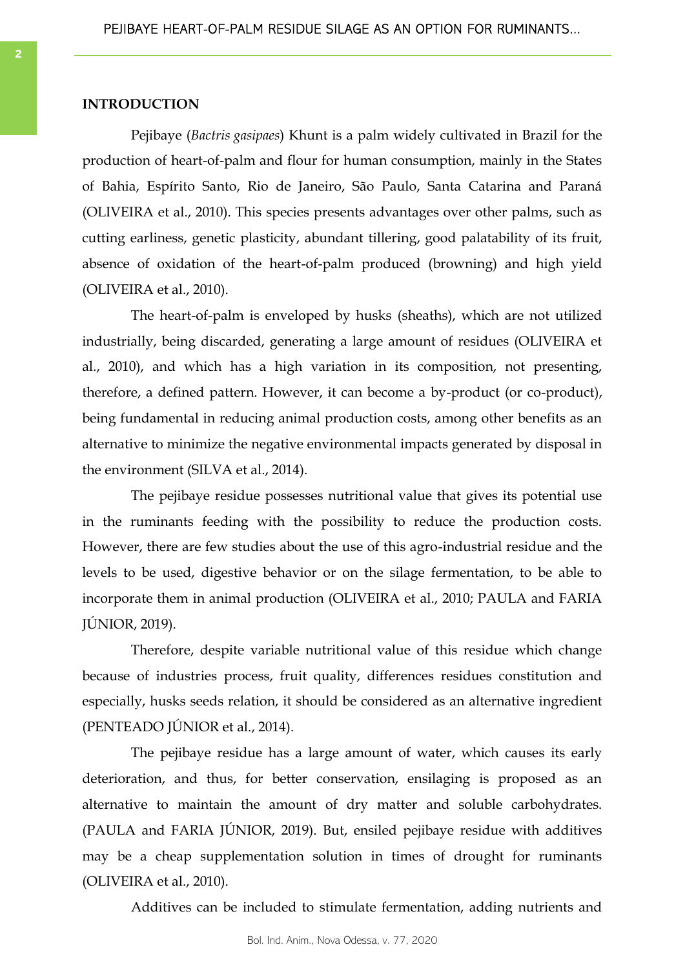#### **INTRODUCTION**

Pejibaye (*Bactris gasipaes*) Khunt is a palm widely cultivated in Brazil for the production of heart-of-palm and flour for human consumption, mainly in the States of Bahia, Espírito Santo, Rio de Janeiro, São Paulo, Santa Catarina and Paraná (OLIVEIRA et al., 2010). This species presents advantages over other palms, such as cutting earliness, genetic plasticity, abundant tillering, good palatability of its fruit, absence of oxidation of the heart-of-palm produced (browning) and high yield (OLIVEIRA et al., 2010).

The heart-of-palm is enveloped by husks (sheaths), which are not utilized industrially, being discarded, generating a large amount of residues (OLIVEIRA et al., 2010), and which has a high variation in its composition, not presenting, therefore, a defined pattern. However, it can become a by-product (or co-product), being fundamental in reducing animal production costs, among other benefits as an alternative to minimize the negative environmental impacts generated by disposal in the environment (SILVA et al., 2014).

The pejibaye residue possesses nutritional value that gives its potential use in the ruminants feeding with the possibility to reduce the production costs. However, there are few studies about the use of this agro-industrial residue and the levels to be used, digestive behavior or on the silage fermentation, to be able to incorporate them in animal production (OLIVEIRA et al., 2010; PAULA and FARIA JÚNIOR, 2019).

Therefore, despite variable nutritional value of this residue which change because of industries process, fruit quality, differences residues constitution and especially, husks seeds relation, it should be considered as an alternative ingredient (PENTEADO JÚNIOR et al., 2014).

The pejibaye residue has a large amount of water, which causes its early deterioration, and thus, for better conservation, ensilaging is proposed as an alternative to maintain the amount of dry matter and soluble carbohydrates. (PAULA and FARIA JÚNIOR, 2019). But, ensiled pejibaye residue with additives may be a cheap supplementation solution in times of drought for ruminants (OLIVEIRA et al., 2010).

Additives can be included to stimulate fermentation, adding nutrients and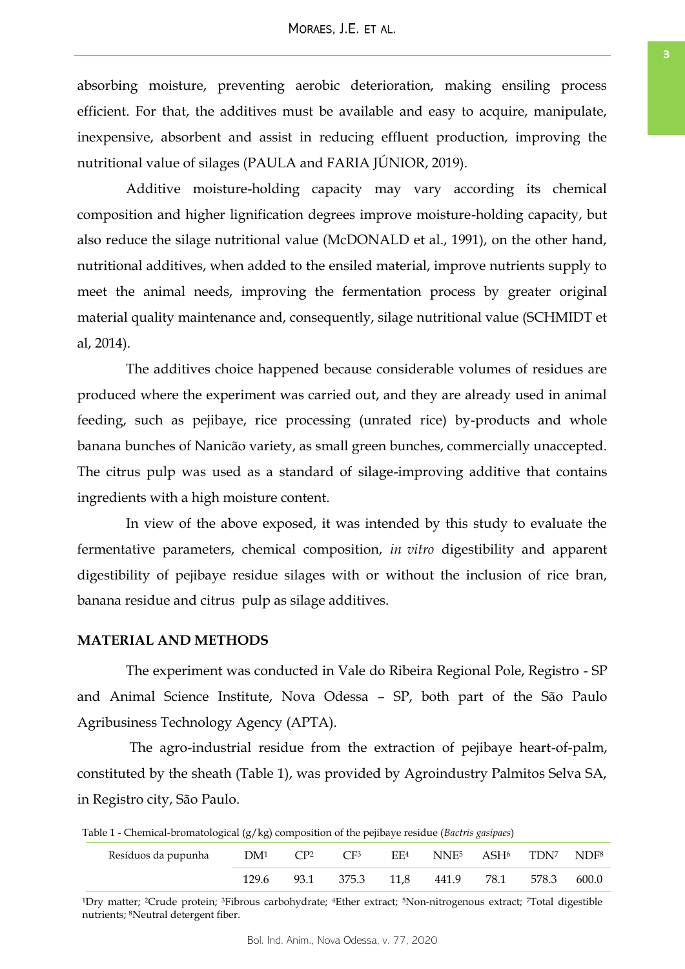absorbing moisture, preventing aerobic deterioration, making ensiling process efficient. For that, the additives must be available and easy to acquire, manipulate, inexpensive, absorbent and assist in reducing effluent production, improving the nutritional value of silages (PAULA and FARIA JÚNIOR, 2019).

Additive moisture-holding capacity may vary according its chemical composition and higher lignification degrees improve moisture-holding capacity, but also reduce the silage nutritional value (McDONALD et al., 1991), on the other hand, nutritional additives, when added to the ensiled material, improve nutrients supply to meet the animal needs, improving the fermentation process by greater original material quality maintenance and, consequently, silage nutritional value (SCHMIDT et al, 2014).

The additives choice happened because considerable volumes of residues are produced where the experiment was carried out, and they are already used in animal feeding, such as pejibaye, rice processing (unrated rice) by-products and whole banana bunches of Nanicão variety, as small green bunches, commercially unaccepted. The citrus pulp was used as a standard of silage-improving additive that contains ingredients with a high moisture content.

In view of the above exposed, it was intended by this study to evaluate the fermentative parameters, chemical composition, *in vitro* digestibility and apparent digestibility of pejibaye residue silages with or without the inclusion of rice bran, banana residue and citrus pulp as silage additives.

#### **MATERIAL AND METHODS**

The experiment was conducted in Vale do Ribeira Regional Pole, Registro - SP and Animal Science Institute, Nova Odessa – SP, both part of the São Paulo Agribusiness Technology Agency (APTA).

The agro-industrial residue from the extraction of pejibaye heart-of-palm, constituted by the sheath (Table 1), was provided by Agroindustry Palmitos Selva SA, in Registro city, São Paulo.

Table 1 - Chemical-bromatological (g/kg) composition of the pejibaye residue (*Bactris gasipaes*)

| Resíduos da pupunha | DM1   | CP <sub>2</sub> | CF <sup>3</sup> | EF <sup>4</sup> | NNE <sup>5</sup> ASH <sup>6</sup> |      | TDN <sup>7</sup> NDF <sup>8</sup> |       |
|---------------------|-------|-----------------|-----------------|-----------------|-----------------------------------|------|-----------------------------------|-------|
|                     | 129.6 | 93.1            | 375.3           | 11.8            | 441.9                             | 78.1 | 578.3                             | 600.0 |

<sup>1</sup>Dry matter; 2Crude protein; 3Fibrous carbohydrate; 4Ether extract; 5Non-nitrogenous extract; 7Total digestible nutrients; 8Neutral detergent fiber.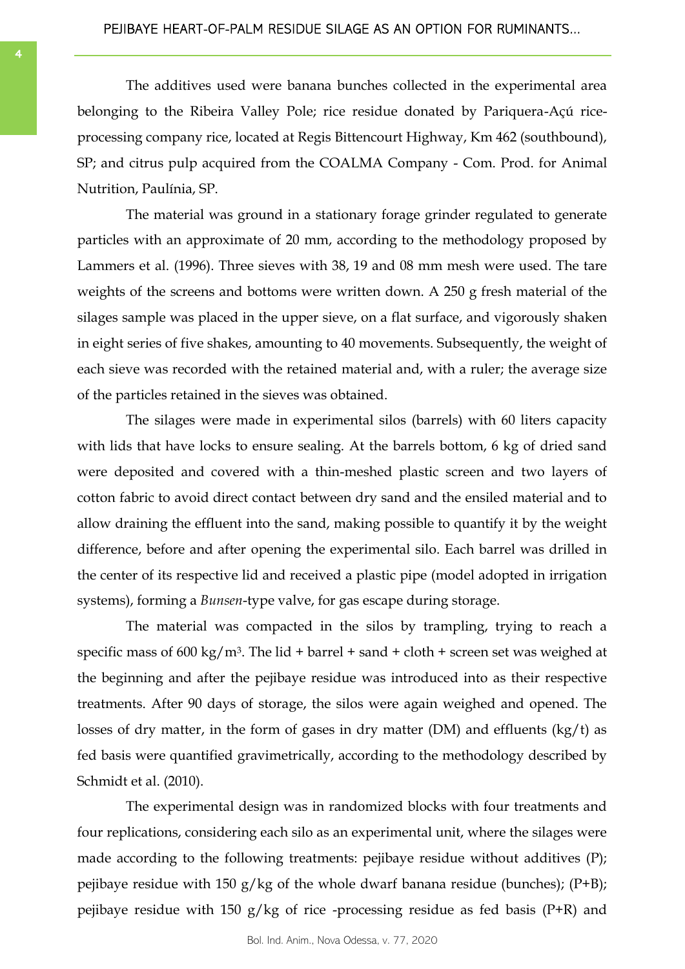The additives used were banana bunches collected in the experimental area belonging to the Ribeira Valley Pole; rice residue donated by Pariquera-Açú riceprocessing company rice, located at Regis Bittencourt Highway, Km 462 (southbound), SP; and citrus pulp acquired from the COALMA Company - Com. Prod. for Animal Nutrition, Paulínia, SP.

The material was ground in a stationary forage grinder regulated to generate particles with an approximate of 20 mm, according to the methodology proposed by Lammers et al. (1996). Three sieves with 38, 19 and 08 mm mesh were used. The tare weights of the screens and bottoms were written down. A 250 g fresh material of the silages sample was placed in the upper sieve, on a flat surface, and vigorously shaken in eight series of five shakes, amounting to 40 movements. Subsequently, the weight of each sieve was recorded with the retained material and, with a ruler; the average size of the particles retained in the sieves was obtained.

The silages were made in experimental silos (barrels) with 60 liters capacity with lids that have locks to ensure sealing. At the barrels bottom, 6 kg of dried sand were deposited and covered with a thin-meshed plastic screen and two layers of cotton fabric to avoid direct contact between dry sand and the ensiled material and to allow draining the effluent into the sand, making possible to quantify it by the weight difference, before and after opening the experimental silo. Each barrel was drilled in the center of its respective lid and received a plastic pipe (model adopted in irrigation systems), forming a *Bunsen*-type valve, for gas escape during storage.

The material was compacted in the silos by trampling, trying to reach a specific mass of 600 kg/m<sup>3</sup>. The lid + barrel + sand + cloth + screen set was weighed at the beginning and after the pejibaye residue was introduced into as their respective treatments. After 90 days of storage, the silos were again weighed and opened. The losses of dry matter, in the form of gases in dry matter (DM) and effluents (kg/t) as fed basis were quantified gravimetrically, according to the methodology described by Schmidt et al. (2010).

The experimental design was in randomized blocks with four treatments and four replications, considering each silo as an experimental unit, where the silages were made according to the following treatments: pejibaye residue without additives (P); pejibaye residue with 150 g/kg of the whole dwarf banana residue (bunches);  $(P+B)$ ; pejibaye residue with 150  $g/kg$  of rice -processing residue as fed basis (P+R) and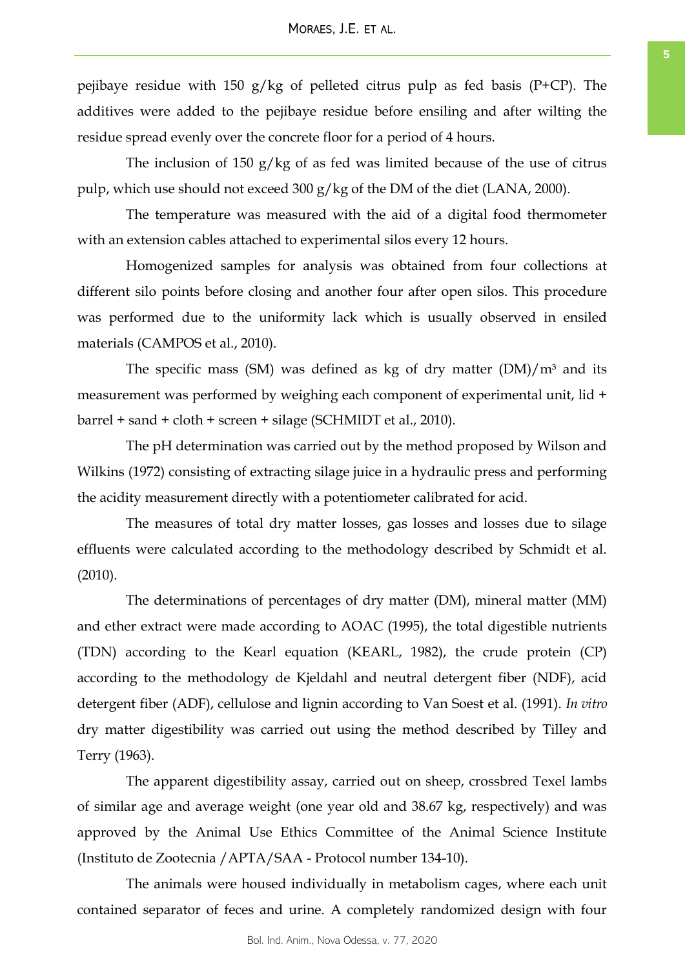pejibaye residue with 150 g/kg of pelleted citrus pulp as fed basis (P+CP). The additives were added to the pejibaye residue before ensiling and after wilting the residue spread evenly over the concrete floor for a period of 4 hours.

The inclusion of 150 g/kg of as fed was limited because of the use of citrus pulp, which use should not exceed 300 g/kg of the DM of the diet (LANA, 2000).

The temperature was measured with the aid of a digital food thermometer with an extension cables attached to experimental silos every 12 hours.

Homogenized samples for analysis was obtained from four collections at different silo points before closing and another four after open silos. This procedure was performed due to the uniformity lack which is usually observed in ensiled materials (CAMPOS et al., 2010).

The specific mass (SM) was defined as kg of dry matter  $(DM)/m<sup>3</sup>$  and its measurement was performed by weighing each component of experimental unit, lid + barrel + sand + cloth + screen + silage (SCHMIDT et al., 2010).

The pH determination was carried out by the method proposed by Wilson and Wilkins (1972) consisting of extracting silage juice in a hydraulic press and performing the acidity measurement directly with a potentiometer calibrated for acid.

The measures of total dry matter losses, gas losses and losses due to silage effluents were calculated according to the methodology described by Schmidt et al. (2010).

The determinations of percentages of dry matter (DM), mineral matter (MM) and ether extract were made according to AOAC (1995), the total digestible nutrients (TDN) according to the Kearl equation (KEARL, 1982), the crude protein (CP) according to the methodology de Kjeldahl and neutral detergent fiber (NDF), acid detergent fiber (ADF), cellulose and lignin according to Van Soest et al. (1991). *In vitro* dry matter digestibility was carried out using the method described by Tilley and Terry (1963).

The apparent digestibility assay, carried out on sheep, crossbred Texel lambs of similar age and average weight (one year old and 38.67 kg, respectively) and was approved by the Animal Use Ethics Committee of the Animal Science Institute (Instituto de Zootecnia /APTA/SAA - Protocol number 134-10).

The animals were housed individually in metabolism cages, where each unit contained separator of feces and urine. A completely randomized design with four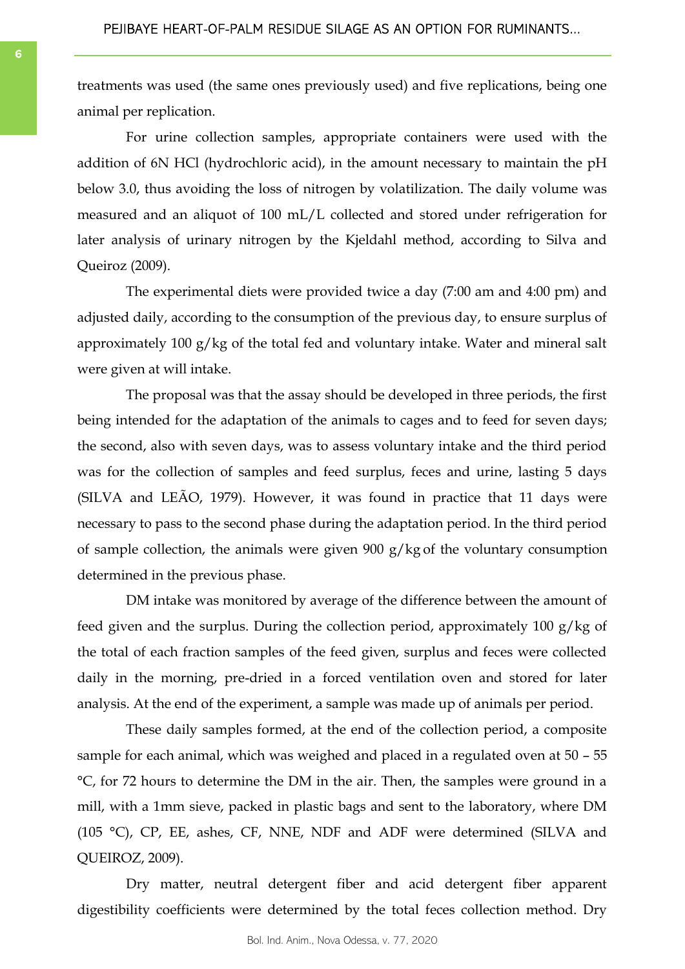treatments was used (the same ones previously used) and five replications, being one animal per replication.

For urine collection samples, appropriate containers were used with the addition of 6N HCl (hydrochloric acid), in the amount necessary to maintain the pH below 3.0, thus avoiding the loss of nitrogen by volatilization. The daily volume was measured and an aliquot of 100 mL/L collected and stored under refrigeration for later analysis of urinary nitrogen by the Kjeldahl method, according to Silva and Queiroz (2009).

The experimental diets were provided twice a day (7:00 am and 4:00 pm) and adjusted daily, according to the consumption of the previous day, to ensure surplus of approximately 100 g/kg of the total fed and voluntary intake. Water and mineral salt were given at will intake.

The proposal was that the assay should be developed in three periods, the first being intended for the adaptation of the animals to cages and to feed for seven days; the second, also with seven days, was to assess voluntary intake and the third period was for the collection of samples and feed surplus, feces and urine, lasting 5 days (SILVA and LEÃO, 1979). However, it was found in practice that 11 days were necessary to pass to the second phase during the adaptation period. In the third period of sample collection, the animals were given 900 g/kg of the voluntary consumption determined in the previous phase.

DM intake was monitored by average of the difference between the amount of feed given and the surplus. During the collection period, approximately 100 g/kg of the total of each fraction samples of the feed given, surplus and feces were collected daily in the morning, pre-dried in a forced ventilation oven and stored for later analysis. At the end of the experiment, a sample was made up of animals per period.

These daily samples formed, at the end of the collection period, a composite sample for each animal, which was weighed and placed in a regulated oven at 50 – 55 °C, for 72 hours to determine the DM in the air. Then, the samples were ground in a mill, with a 1mm sieve, packed in plastic bags and sent to the laboratory, where DM (105 °C), CP, EE, ashes, CF, NNE, NDF and ADF were determined (SILVA and QUEIROZ, 2009).

Dry matter, neutral detergent fiber and acid detergent fiber apparent digestibility coefficients were determined by the total feces collection method. Dry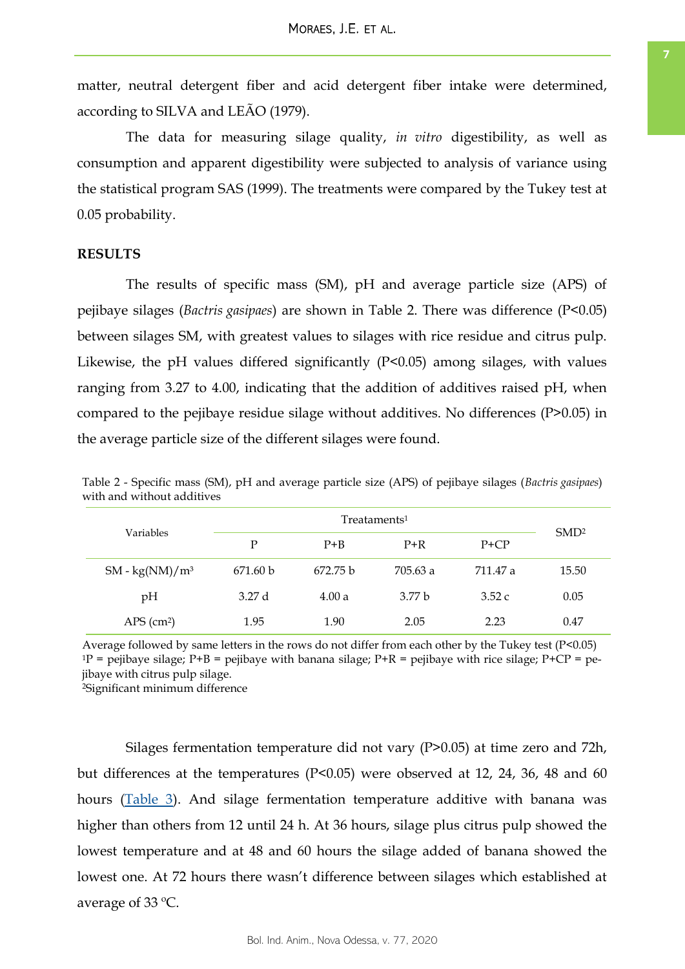matter, neutral detergent fiber and acid detergent fiber intake were determined, according to SILVA and LEÃO (1979).

The data for measuring silage quality, *in vitro* digestibility, as well as consumption and apparent digestibility were subjected to analysis of variance using the statistical program SAS (1999). The treatments were compared by the Tukey test at 0.05 probability.

## **RESULTS**

The results of specific mass (SM), pH and average particle size (APS) of pejibaye silages (*Bactris gasipaes*) are shown in Table 2. There was difference (P<0.05) between silages SM, with greatest values to silages with rice residue and citrus pulp. Likewise, the pH values differed significantly (P<0.05) among silages, with values ranging from 3.27 to 4.00, indicating that the addition of additives raised pH, when compared to the pejibaye residue silage without additives. No differences (P>0.05) in the average particle size of the different silages were found.

| Variables                | P        | $P + B$             | $P+R$    | $P + CP$ | SMD <sup>2</sup> |
|--------------------------|----------|---------------------|----------|----------|------------------|
| SM - $\text{kg}(NM)/m^3$ | 671.60 b | 672.75 <sub>b</sub> | 705.63 a | 711.47 a | 15.50            |
| pH                       | 3.27d    | 4.00a               | 3.77 h   | 3.52c    | 0.05             |
| $APS$ (cm <sup>2</sup> ) | 1.95     | 1.90                | 2.05     | 2.23     | 0.47             |

Table 2 - Specific mass (SM), pH and average particle size (APS) of pejibaye silages (*Bactris gasipaes*) with and without additives

Average followed by same letters in the rows do not differ from each other by the Tukey test (P<0.05)  $1P$  = pejibaye silage; P+B = pejibaye with banana silage; P+R = pejibaye with rice silage; P+CP = pejibaye with citrus pulp silage.

<sup>2</sup>Significant minimum difference

Silages fermentation temperature did not vary (P>0.05) at time zero and 72h, but differences at the temperatures (P<0.05) were observed at 12, 24, 36, 48 and 60 hours [\(Table 3\)](#page-7-0). And silage fermentation temperature additive with banana was higher than others from 12 until 24 h. At 36 hours, silage plus citrus pulp showed the lowest temperature and at 48 and 60 hours the silage added of banana showed the lowest one. At 72 hours there wasn't difference between silages which established at average of 33 ºC.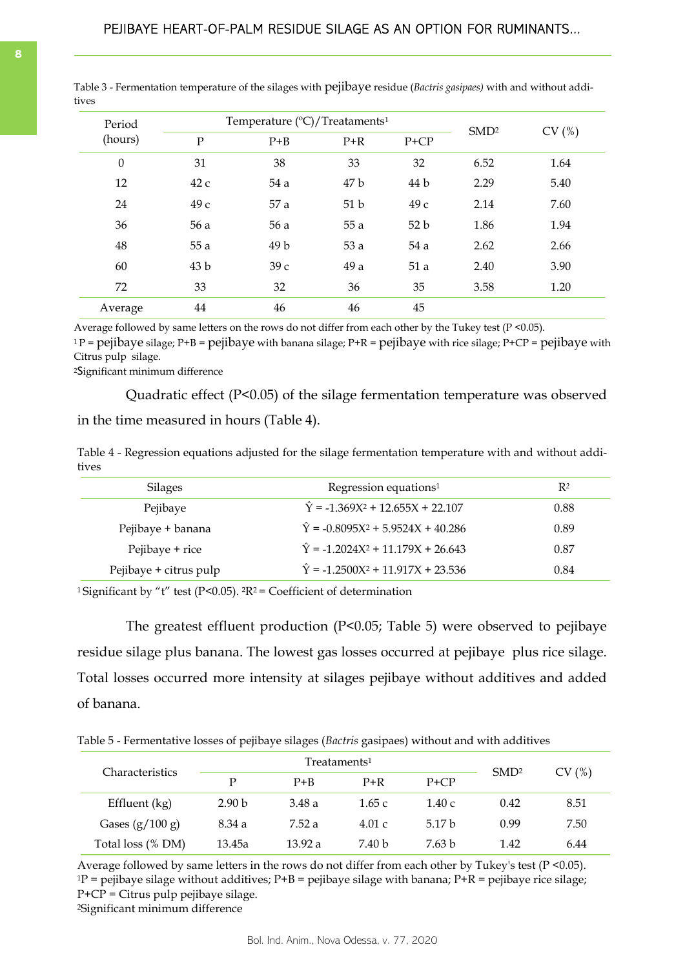| Period           |                 | Temperature (°C)/Treataments <sup>1</sup> | SMD <sup>2</sup> |        |      |       |
|------------------|-----------------|-------------------------------------------|------------------|--------|------|-------|
| (hours)          | $\mathbf P$     | $P + B$                                   | $P+R$            | $P+CP$ |      | CV(%) |
| $\boldsymbol{0}$ | 31              | 38                                        | 33               | 32     | 6.52 | 1.64  |
| 12               | 42c             | 54 a                                      | 47 b             | 44 b   | 2.29 | 5.40  |
| 24               | 49 с            | 57 a                                      | 51 <sub>b</sub>  | 49 с   | 2.14 | 7.60  |
| 36               | 56 a            | 56 a                                      | 55 a             | 52b    | 1.86 | 1.94  |
| 48               | 55 a            | 49 b                                      | 53 a             | 54 a   | 2.62 | 2.66  |
| 60               | 43 <sub>b</sub> | 39c                                       | 49 a             | 51a    | 2.40 | 3.90  |
| 72               | 33              | 32                                        | 36               | 35     | 3.58 | 1.20  |
| Average          | 44              | 46                                        | 46               | 45     |      |       |

<span id="page-7-0"></span>Table 3 - Fermentation temperature of the silages with pejibaye residue (*Bactris gasipaes)* with and without additives

Average followed by same letters on the rows do not differ from each other by the Tukey test (P <0.05).

 $1P =$  pejibaye silage; P+B = pejibaye with banana silage; P+R = pejibaye with rice silage; P+CP = pejibaye with Citrus pulp silage.

<sup>2</sup>Significant minimum difference

Quadratic effect (P<0.05) of the silage fermentation temperature was observed in the time measured in hours (Table 4).

Table 4 - Regression equations adjusted for the silage fermentation temperature with and without additives

| <b>Silages</b>         | Regression equations <sup>1</sup>                    | $R^2$ |
|------------------------|------------------------------------------------------|-------|
| Pejibaye               | $\hat{Y} = -1.369X^2 + 12.655X + 22.107$             | 0.88  |
| Pejibaye + banana      | $\hat{Y} = -0.8095X^2 + 5.9524X + 40.286$            | 0.89  |
| Pejibaye + rice        | $\hat{Y} = -1.2024X^2 + 11.179X + 26.643$            | 0.87  |
| Pejibaye + citrus pulp | $\hat{Y}$ = -1.2500X <sup>2</sup> + 11.917X + 23.536 | 0.84  |
|                        |                                                      |       |

<sup>1</sup>Significant by "t" test (P<0.05).  ${}^{2}R^{2}$  = Coefficient of determination

The greatest effluent production (P<0.05; Table 5) were observed to pejibaye residue silage plus banana. The lowest gas losses occurred at pejibaye plus rice silage. Total losses occurred more intensity at silages pejibaye without additives and added of banana.

Table 5 - Fermentative losses of pejibaye silages (*Bactris* gasipaes) without and with additives

| <b>Characteristics</b> |                   | $T$ reataments <sup>1</sup> | SMD <sup>2</sup> | CV(%)    |      |      |
|------------------------|-------------------|-----------------------------|------------------|----------|------|------|
|                        | D                 | $P + B$                     | $P+R$            | $P + CP$ |      |      |
| Effluent (kg)          | 2.90 <sub>b</sub> | 3.48 a                      | 1.65c            | 1.40 c   | 0.42 | 8.51 |
| Gases $(g/100 g)$      | 8.34 a            | 7.52a                       | 4.01 c           | 5.17 b   | 0.99 | 7.50 |
| Total loss (% DM)      | 13.45a            | 13.92 a                     | 7.40 b           | 7.63 h   | 1.42 | 6.44 |

Average followed by same letters in the rows do not differ from each other by Tukey's test (P <0.05).  $1P$  = pejibaye silage without additives; P+B = pejibaye silage with banana; P+R = pejibaye rice silage; P+CP = Citrus pulp pejibaye silage.

<sup>2</sup>Significant minimum difference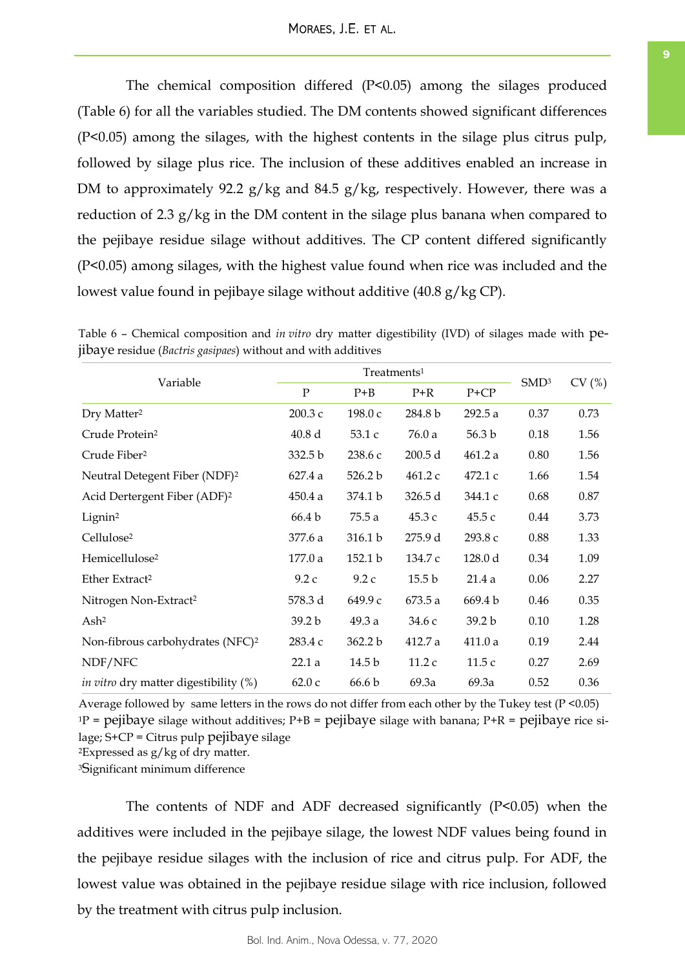The chemical composition differed (P<0.05) among the silages produced (Table 6) for all the variables studied. The DM contents showed significant differences (P<0.05) among the silages, with the highest contents in the silage plus citrus pulp, followed by silage plus rice. The inclusion of these additives enabled an increase in DM to approximately 92.2 g/kg and 84.5 g/kg, respectively. However, there was a reduction of 2.3 g/kg in the DM content in the silage plus banana when compared to the pejibaye residue silage without additives. The CP content differed significantly (P<0.05) among silages, with the highest value found when rice was included and the lowest value found in pejibaye silage without additive (40.8 g/kg CP).

|                                              |                    | Treatments <sup>1</sup> |                   |                   |                  |       |
|----------------------------------------------|--------------------|-------------------------|-------------------|-------------------|------------------|-------|
| Variable                                     | $\mathbf{P}$       | $P + B$                 | $P+R$             | $P+CP$            | SMD <sup>3</sup> | CV(%) |
| Dry Matter <sup>2</sup>                      | 200.3 с            | 198.0 с                 | 284.8 b           | 292.5 a           | 0.37             | 0.73  |
| Crude Protein <sup>2</sup>                   | 40.8 d             | 53.1c                   | 76.0 a            | 56.3 <sub>b</sub> | 0.18             | 1.56  |
| Crude Fiber <sup>2</sup>                     | 332.5 <sub>b</sub> | 238.6 с                 | 200.5 d           | 461.2 a           | 0.80             | 1.56  |
| Neutral Detegent Fiber (NDF) <sup>2</sup>    | 627.4 a            | 526.2 b                 | 461.2 c           | 472.1c            | 1.66             | 1.54  |
| Acid Dertergent Fiber (ADF) <sup>2</sup>     | 450.4 a            | 374.1 b                 | 326.5 d           | 344.1 c           | 0.68             | 0.87  |
| Lignin <sup>2</sup>                          | 66.4 b             | 75.5 a                  | 45.3 с            | 45.5 с            | 0.44             | 3.73  |
| Cellulose <sup>2</sup>                       | 377.6 a            | 316.1 b                 | 275.9 d           | 293.8 с           | 0.88             | 1.33  |
| Hemicellulose <sup>2</sup>                   | 177.0 a            | 152.1 b                 | 134.7 c           | 128.0 d           | 0.34             | 1.09  |
| Ether Extract <sup>2</sup>                   | 9.2c               | 9.2c                    | 15.5 <sub>b</sub> | 21.4a             | 0.06             | 2.27  |
| Nitrogen Non-Extract <sup>2</sup>            | 578.3 d            | 649.9 с                 | 673.5a            | 669.4 b           | 0.46             | 0.35  |
| Ash <sup>2</sup>                             | 39.2 b             | 49.3a                   | 34.6 с            | 39.2 <sub>b</sub> | 0.10             | 1.28  |
| Non-fibrous carbohydrates (NFC) <sup>2</sup> | 283.4 c            | 362.2 b                 | 412.7 a           | 411.0a            | 0.19             | 2.44  |
| NDF/NFC                                      | 22.1a              | 14.5 b                  | 11.2c             | 11.5c             | 0.27             | 2.69  |
| <i>in vitro</i> dry matter digestibility (%) | 62.0c              | 66.6 b                  | 69.3a             | 69.3a             | 0.52             | 0.36  |

Table 6 – Chemical composition and *in vitro* dry matter digestibility (IVD) of silages made with pejibaye residue (*Bactris gasipaes*) without and with additives

Average followed by same letters in the rows do not differ from each other by the Tukey test (P <0.05)  $1P =$  pejibaye silage without additives;  $P+B =$  pejibaye silage with banana;  $P+R =$  pejibaye rice si $lage; S+CP = Citrus pub peiibave silage$ <sup>2</sup>Expressed as g/kg of dry matter.

<sup>3</sup>Significant minimum difference

The contents of NDF and ADF decreased significantly (P<0.05) when the additives were included in the pejibaye silage, the lowest NDF values being found in the pejibaye residue silages with the inclusion of rice and citrus pulp. For ADF, the lowest value was obtained in the pejibaye residue silage with rice inclusion, followed by the treatment with citrus pulp inclusion.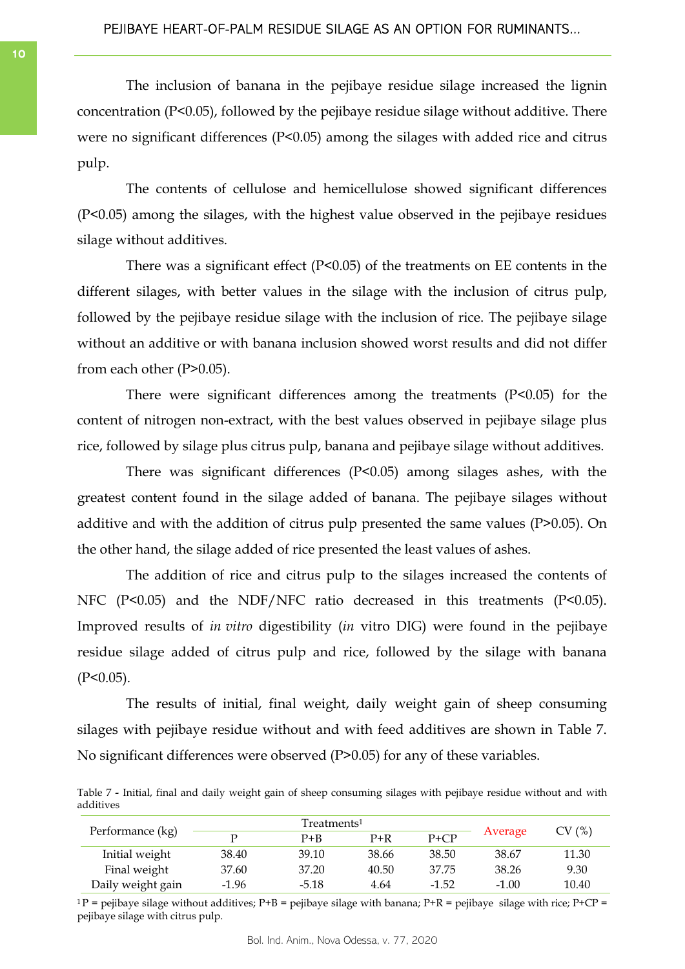The inclusion of banana in the pejibaye residue silage increased the lignin concentration (P<0.05), followed by the pejibaye residue silage without additive. There were no significant differences (P<0.05) among the silages with added rice and citrus pulp.

The contents of cellulose and hemicellulose showed significant differences (P<0.05) among the silages, with the highest value observed in the pejibaye residues silage without additives.

There was a significant effect (P<0.05) of the treatments on EE contents in the different silages, with better values in the silage with the inclusion of citrus pulp, followed by the pejibaye residue silage with the inclusion of rice. The pejibaye silage without an additive or with banana inclusion showed worst results and did not differ from each other (P>0.05).

There were significant differences among the treatments (P<0.05) for the content of nitrogen non-extract, with the best values observed in pejibaye silage plus rice, followed by silage plus citrus pulp, banana and pejibaye silage without additives.

There was significant differences (P<0.05) among silages ashes, with the greatest content found in the silage added of banana. The pejibaye silages without additive and with the addition of citrus pulp presented the same values (P>0.05). On the other hand, the silage added of rice presented the least values of ashes.

The addition of rice and citrus pulp to the silages increased the contents of NFC (P<0.05) and the NDF/NFC ratio decreased in this treatments (P<0.05). Improved results of *in vitro* digestibility (*in* vitro DIG) were found in the pejibaye residue silage added of citrus pulp and rice, followed by the silage with banana  $(P<0.05)$ .

The results of initial, final weight, daily weight gain of sheep consuming silages with pejibaye residue without and with feed additives are shown in Table 7. No significant differences were observed (P>0.05) for any of these variables.

Table 7 **-** Initial, final and daily weight gain of sheep consuming silages with pejibaye residue without and with additives

|                   |         | Treatments <sup>1</sup> |       |          |         |       |
|-------------------|---------|-------------------------|-------|----------|---------|-------|
| Performance (kg)  |         | $P + B$                 | $P+R$ | $P + CP$ | Average | CV(%) |
| Initial weight    | 38.40   | 39.10                   | 38.66 | 38.50    | 38.67   | 11.30 |
| Final weight      | 37.60   | 37.20                   | 40.50 | 37.75    | 38.26   | 9.30  |
| Daily weight gain | $-1.96$ | $-5.18$                 | 4.64  | $-1.52$  | $-1.00$ | 10.40 |

 $1P$  = pejibaye silage without additives; P+B = pejibaye silage with banana; P+R = pejibaye silage with rice; P+CP = pejibaye silage with citrus pulp.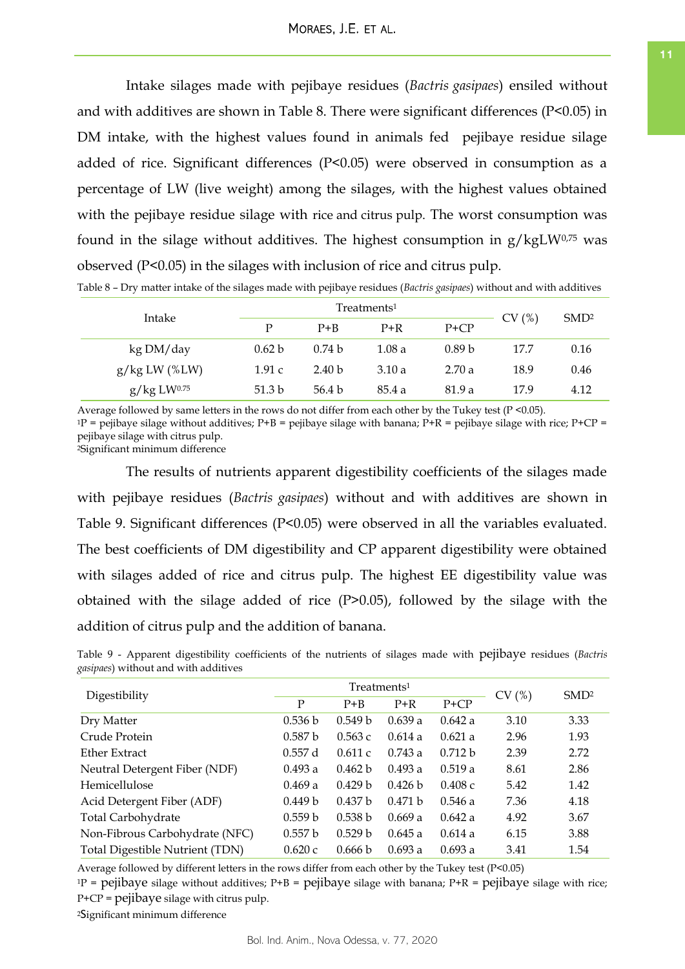Intake silages made with pejibaye residues (*Bactris gasipaes*) ensiled without and with additives are shown in Table 8. There were significant differences (P<0.05) in DM intake, with the highest values found in animals fed pejibaye residue silage added of rice. Significant differences (P<0.05) were observed in consumption as a percentage of LW (live weight) among the silages, with the highest values obtained with the pejibaye residue silage with rice and citrus pulp. The worst consumption was found in the silage without additives. The highest consumption in  $g/kgLW^{0.75}$  was observed (P<0.05) in the silages with inclusion of rice and citrus pulp.

| Intake          |                   | Treatments <sup>1</sup> | CV(%)  | SMD <sup>2</sup>  |      |      |
|-----------------|-------------------|-------------------------|--------|-------------------|------|------|
|                 | P                 | $P + B$                 | $P+R$  | $P+CP$            |      |      |
| kg DM/day       | 0.62 b            | 0.74 <sub>b</sub>       | 1.08 a | 0.89 <sub>b</sub> | 17.7 | 0.16 |
| $g/kg LW$ (%LW) | 1.91c             | 2.40 <sub>b</sub>       | 3.10a  | 2.70a             | 18.9 | 0.46 |
| g/kg LW0.75     | 51.3 <sub>b</sub> | 56.4 b                  | 85.4 a | 81.9 a            | 17.9 | 4.12 |

Table 8 – Dry matter intake of the silages made with pejibaye residues (*Bactris gasipaes*) without and with additives

Average followed by same letters in the rows do not differ from each other by the Tukey test (P <0.05).  $1P$  = pejibaye silage without additives; P+B = pejibaye silage with banana; P+R = pejibaye silage with rice; P+CP = pejibaye silage with citrus pulp.

<sup>2</sup>Significant minimum difference

The results of nutrients apparent digestibility coefficients of the silages made with pejibaye residues (*Bactris gasipaes*) without and with additives are shown in Table 9. Significant differences (P<0.05) were observed in all the variables evaluated. The best coefficients of DM digestibility and CP apparent digestibility were obtained with silages added of rice and citrus pulp. The highest EE digestibility value was obtained with the silage added of rice (P>0.05), followed by the silage with the addition of citrus pulp and the addition of banana.

Table 9 - Apparent digestibility coefficients of the nutrients of silages made with pejibaye residues (*Bactris gasipaes*) without and with additives

| Digestibility                   |              | Treatments <sup>1</sup> | CV(%)   | SMD <sup>2</sup> |      |      |
|---------------------------------|--------------|-------------------------|---------|------------------|------|------|
|                                 | $\mathbf{P}$ | $P + B$                 | $P+R$   | $P+CP$           |      |      |
| Dry Matter                      | 0.536 b      | 0.549 <sub>b</sub>      | 0.639a  | 0.642 a          | 3.10 | 3.33 |
| Crude Protein                   | 0.587 b      | 0.563c                  | 0.614a  | 0.621a           | 2.96 | 1.93 |
| Ether Extract                   | 0.557d       | 0.611c                  | 0.743a  | 0.712 b          | 2.39 | 2.72 |
| Neutral Detergent Fiber (NDF)   | 0.493 a      | 0.462 b                 | 0.493a  | 0.519a           | 8.61 | 2.86 |
| Hemicellulose                   | 0.469a       | 0.429 <sub>b</sub>      | 0.426 b | 0.408c           | 5.42 | 1.42 |
| Acid Detergent Fiber (ADF)      | 0.449 b      | 0.437 b                 | 0.471 h | 0.546a           | 7.36 | 4.18 |
| Total Carbohydrate              | 0.559 b      | 0.538 b                 | 0.669a  | 0.642 a          | 4.92 | 3.67 |
| Non-Fibrous Carbohydrate (NFC)  | 0.557 b      | 0.529 <sub>b</sub>      | 0.645a  | 0.614a           | 6.15 | 3.88 |
| Total Digestible Nutrient (TDN) | 0.620c       | 0.666 b                 | 0.693a  | 0.693 a          | 3.41 | 1.54 |

Average followed by different letters in the rows differ from each other by the Tukey test (P<0.05)

 $1P$  = pejibaye silage without additives; P+B = pejibaye silage with banana; P+R = pejibaye silage with rice; P+CP = pejibaye silage with citrus pulp.

<sup>2</sup>Significant minimum difference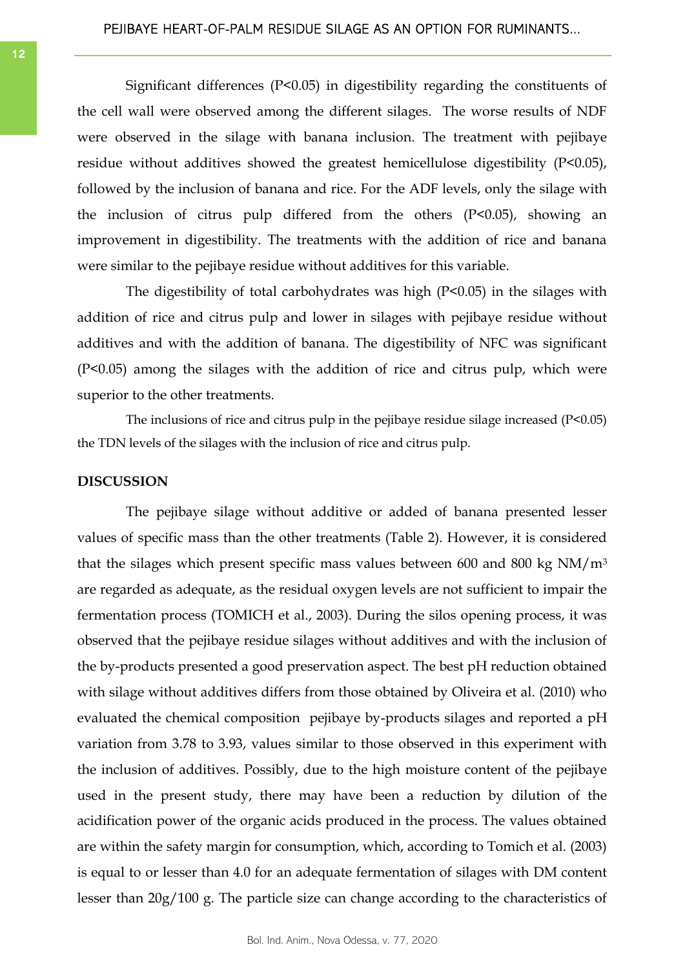Significant differences (P<0.05) in digestibility regarding the constituents of the cell wall were observed among the different silages. The worse results of NDF were observed in the silage with banana inclusion. The treatment with pejibaye residue without additives showed the greatest hemicellulose digestibility (P<0.05), followed by the inclusion of banana and rice. For the ADF levels, only the silage with the inclusion of citrus pulp differed from the others (P<0.05), showing an improvement in digestibility. The treatments with the addition of rice and banana were similar to the pejibaye residue without additives for this variable.

The digestibility of total carbohydrates was high (P<0.05) in the silages with addition of rice and citrus pulp and lower in silages with pejibaye residue without additives and with the addition of banana. The digestibility of NFC was significant (P<0.05) among the silages with the addition of rice and citrus pulp, which were superior to the other treatments.

The inclusions of rice and citrus pulp in the pejibaye residue silage increased (P<0.05) the TDN levels of the silages with the inclusion of rice and citrus pulp.

## **DISCUSSION**

The pejibaye silage without additive or added of banana presented lesser values of specific mass than the other treatments (Table 2). However, it is considered that the silages which present specific mass values between 600 and 800 kg  $NM/m<sup>3</sup>$ are regarded as adequate, as the residual oxygen levels are not sufficient to impair the fermentation process (TOMICH et al., 2003). During the silos opening process, it was observed that the pejibaye residue silages without additives and with the inclusion of the by-products presented a good preservation aspect. The best pH reduction obtained with silage without additives differs from those obtained by Oliveira et al. (2010) who evaluated the chemical composition pejibaye by-products silages and reported a pH variation from 3.78 to 3.93, values similar to those observed in this experiment with the inclusion of additives. Possibly, due to the high moisture content of the pejibaye used in the present study, there may have been a reduction by dilution of the acidification power of the organic acids produced in the process. The values obtained are within the safety margin for consumption, which, according to Tomich et al. (2003) is equal to or lesser than 4.0 for an adequate fermentation of silages with DM content lesser than 20g/100 g. The particle size can change according to the characteristics of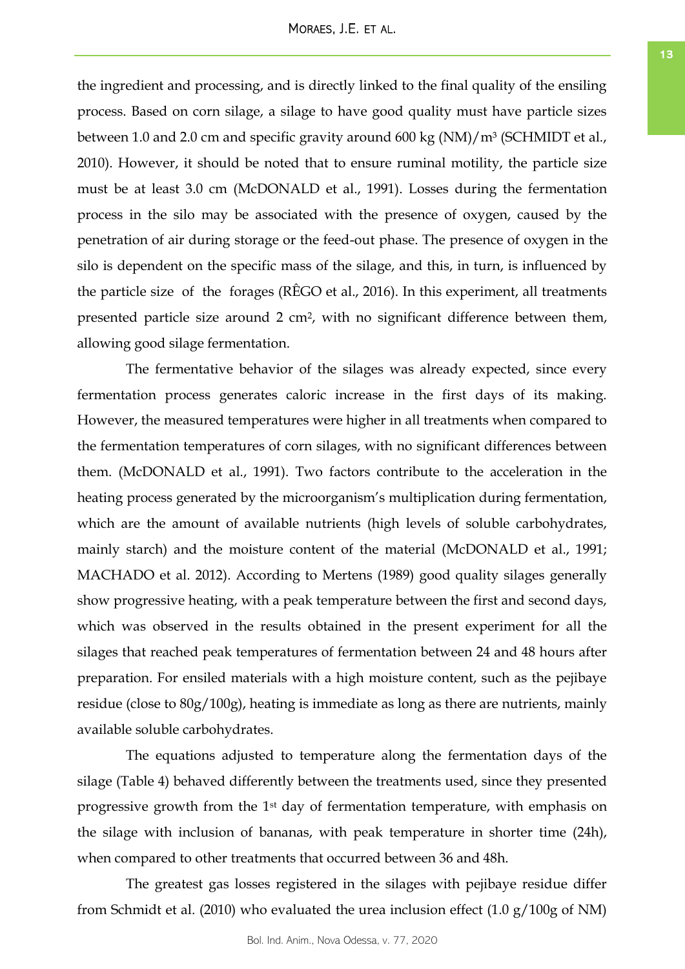the ingredient and processing, and is directly linked to the final quality of the ensiling process. Based on corn silage, a silage to have good quality must have particle sizes between 1.0 and 2.0 cm and specific gravity around 600 kg (NM)/m<sup>3</sup> (SCHMIDT et al., 2010). However, it should be noted that to ensure ruminal motility, the particle size must be at least 3.0 cm (McDONALD et al., 1991). Losses during the fermentation process in the silo may be associated with the presence of oxygen, caused by the penetration of air during storage or the feed-out phase. The presence of oxygen in the

silo is dependent on the specific mass of the silage, and this, in turn, is influenced by the particle size of the forages (RÊGO et al., 2016). In this experiment, all treatments presented particle size around 2 cm2, with no significant difference between them, allowing good silage fermentation.

The fermentative behavior of the silages was already expected, since every fermentation process generates caloric increase in the first days of its making. However, the measured temperatures were higher in all treatments when compared to the fermentation temperatures of corn silages, with no significant differences between them. (McDONALD et al., 1991). Two factors contribute to the acceleration in the heating process generated by the microorganism's multiplication during fermentation, which are the amount of available nutrients (high levels of soluble carbohydrates, mainly starch) and the moisture content of the material (McDONALD et al., 1991; MACHADO et al. 2012). According to Mertens (1989) good quality silages generally show progressive heating, with a peak temperature between the first and second days, which was observed in the results obtained in the present experiment for all the silages that reached peak temperatures of fermentation between 24 and 48 hours after preparation. For ensiled materials with a high moisture content, such as the pejibaye residue (close to 80g/100g), heating is immediate as long as there are nutrients, mainly available soluble carbohydrates.

The equations adjusted to temperature along the fermentation days of the silage (Table 4) behaved differently between the treatments used, since they presented progressive growth from the 1st day of fermentation temperature, with emphasis on the silage with inclusion of bananas, with peak temperature in shorter time (24h), when compared to other treatments that occurred between 36 and 48h.

The greatest gas losses registered in the silages with pejibaye residue differ from Schmidt et al. (2010) who evaluated the urea inclusion effect (1.0 g/100g of NM)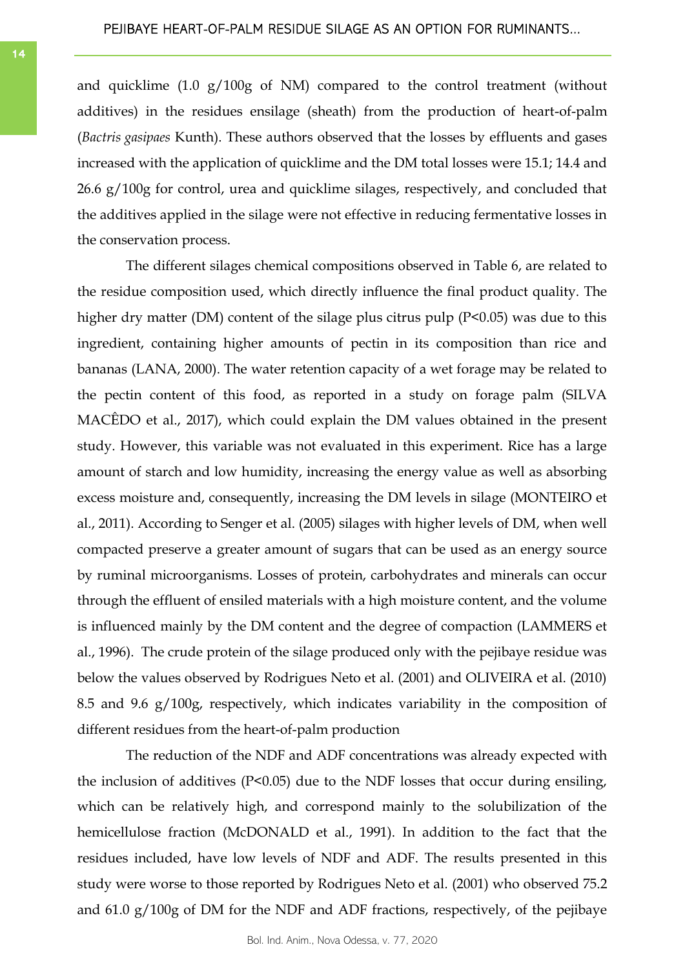and quicklime (1.0 g/100g of NM) compared to the control treatment (without additives) in the residues ensilage (sheath) from the production of heart-of-palm (*Bactris gasipaes* Kunth). These authors observed that the losses by effluents and gases increased with the application of quicklime and the DM total losses were 15.1; 14.4 and 26.6 g/100g for control, urea and quicklime silages, respectively, and concluded that the additives applied in the silage were not effective in reducing fermentative losses in the conservation process.

The different silages chemical compositions observed in Table 6, are related to the residue composition used, which directly influence the final product quality. The higher dry matter (DM) content of the silage plus citrus pulp (P<0.05) was due to this ingredient, containing higher amounts of pectin in its composition than rice and bananas (LANA, 2000). The water retention capacity of a wet forage may be related to the pectin content of this food, as reported in a study on forage palm (SILVA MACÊDO et al., 2017), which could explain the DM values obtained in the present study. However, this variable was not evaluated in this experiment. Rice has a large amount of starch and low humidity, increasing the energy value as well as absorbing excess moisture and, consequently, increasing the DM levels in silage (MONTEIRO et al., 2011). According to Senger et al. (2005) silages with higher levels of DM, when well compacted preserve a greater amount of sugars that can be used as an energy source by ruminal microorganisms. Losses of protein, carbohydrates and minerals can occur through the effluent of ensiled materials with a high moisture content, and the volume is influenced mainly by the DM content and the degree of compaction (LAMMERS et al., 1996). The crude protein of the silage produced only with the pejibaye residue was below the values observed by Rodrigues Neto et al. (2001) and OLIVEIRA et al. (2010) 8.5 and 9.6 g/100g, respectively, which indicates variability in the composition of different residues from the heart-of-palm production

The reduction of the NDF and ADF concentrations was already expected with the inclusion of additives (P<0.05) due to the NDF losses that occur during ensiling, which can be relatively high, and correspond mainly to the solubilization of the hemicellulose fraction (McDONALD et al., 1991). In addition to the fact that the residues included, have low levels of NDF and ADF. The results presented in this study were worse to those reported by Rodrigues Neto et al*.* (2001) who observed 75.2 and 61.0 g/100g of DM for the NDF and ADF fractions, respectively, of the pejibaye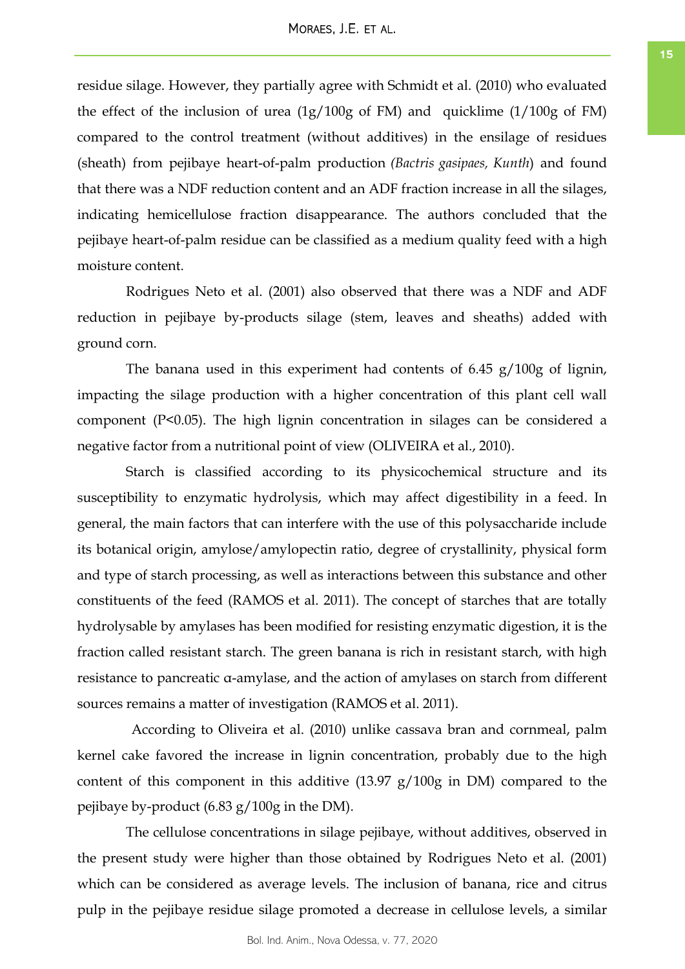residue silage. However, they partially agree with Schmidt et al. (2010) who evaluated the effect of the inclusion of urea (1g/100g of FM) and quicklime (1/100g of FM) compared to the control treatment (without additives) in the ensilage of residues (sheath) from pejibaye heart-of-palm production *(Bactris gasipaes, Kunth*) and found that there was a NDF reduction content and an ADF fraction increase in all the silages, indicating hemicellulose fraction disappearance. The authors concluded that the pejibaye heart-of-palm residue can be classified as a medium quality feed with a high moisture content.

Rodrigues Neto et al. (2001) also observed that there was a NDF and ADF reduction in pejibaye by-products silage (stem, leaves and sheaths) added with ground corn.

The banana used in this experiment had contents of 6.45 g/100g of lignin, impacting the silage production with a higher concentration of this plant cell wall component (P<0.05). The high lignin concentration in silages can be considered a negative factor from a nutritional point of view (OLIVEIRA et al., 2010).

Starch is classified according to its physicochemical structure and its susceptibility to enzymatic hydrolysis, which may affect digestibility in a feed. In general, the main factors that can interfere with the use of this polysaccharide include its botanical origin, amylose/amylopectin ratio, degree of crystallinity, physical form and type of starch processing, as well as interactions between this substance and other constituents of the feed (RAMOS et al. 2011). The concept of starches that are totally hydrolysable by amylases has been modified for resisting enzymatic digestion, it is the fraction called resistant starch. The green banana is rich in resistant starch, with high resistance to pancreatic α-amylase, and the action of amylases on starch from different sources remains a matter of investigation (RAMOS et al. 2011).

According to Oliveira et al. (2010) unlike cassava bran and cornmeal, palm kernel cake favored the increase in lignin concentration, probably due to the high content of this component in this additive (13.97 g/100g in DM) compared to the pejibaye by-product (6.83 g/100g in the DM).

The cellulose concentrations in silage pejibaye, without additives, observed in the present study were higher than those obtained by Rodrigues Neto et al. (2001) which can be considered as average levels. The inclusion of banana, rice and citrus pulp in the pejibaye residue silage promoted a decrease in cellulose levels, a similar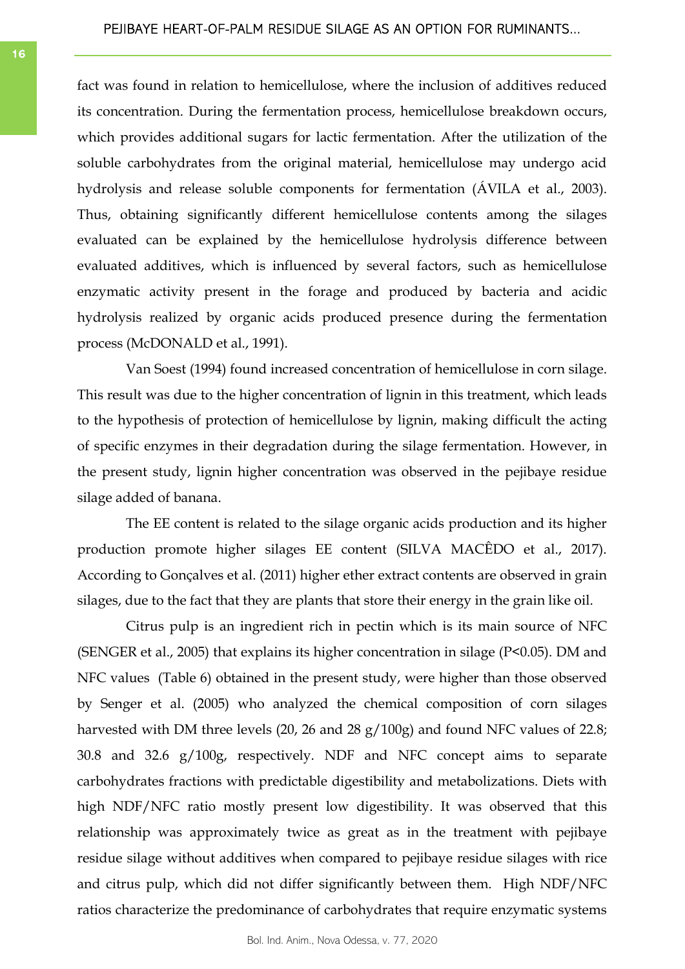fact was found in relation to hemicellulose, where the inclusion of additives reduced its concentration. During the fermentation process, hemicellulose breakdown occurs, which provides additional sugars for lactic fermentation. After the utilization of the soluble carbohydrates from the original material, hemicellulose may undergo acid hydrolysis and release soluble components for fermentation (ÁVILA et al., 2003). Thus, obtaining significantly different hemicellulose contents among the silages evaluated can be explained by the hemicellulose hydrolysis difference between evaluated additives, which is influenced by several factors, such as hemicellulose enzymatic activity present in the forage and produced by bacteria and acidic hydrolysis realized by organic acids produced presence during the fermentation process (McDONALD et al., 1991).

Van Soest (1994) found increased concentration of hemicellulose in corn silage. This result was due to the higher concentration of lignin in this treatment, which leads to the hypothesis of protection of hemicellulose by lignin, making difficult the acting of specific enzymes in their degradation during the silage fermentation. However, in the present study, lignin higher concentration was observed in the pejibaye residue silage added of banana.

The EE content is related to the silage organic acids production and its higher production promote higher silages EE content (SILVA MACÊDO et al., 2017). According to Gonçalves et al. (2011) higher ether extract contents are observed in grain silages, due to the fact that they are plants that store their energy in the grain like oil.

Citrus pulp is an ingredient rich in pectin which is its main source of NFC (SENGER et al., 2005) that explains its higher concentration in silage (P<0.05). DM and NFC values (Table 6) obtained in the present study, were higher than those observed by Senger et al. (2005) who analyzed the chemical composition of corn silages harvested with DM three levels (20, 26 and 28 g/100g) and found NFC values of 22.8; 30.8 and 32.6 g/100g, respectively. NDF and NFC concept aims to separate carbohydrates fractions with predictable digestibility and metabolizations. Diets with high NDF/NFC ratio mostly present low digestibility. It was observed that this relationship was approximately twice as great as in the treatment with pejibaye residue silage without additives when compared to pejibaye residue silages with rice and citrus pulp, which did not differ significantly between them. High NDF/NFC ratios characterize the predominance of carbohydrates that require enzymatic systems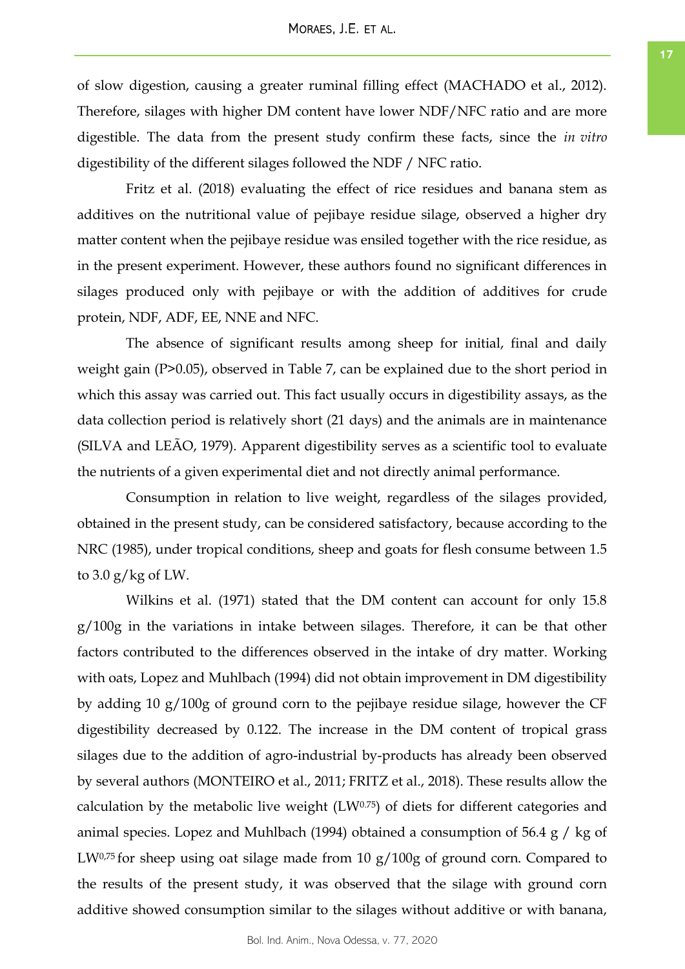of slow digestion, causing a greater ruminal filling effect (MACHADO et al., 2012). Therefore, silages with higher DM content have lower NDF/NFC ratio and are more digestible. The data from the present study confirm these facts, since the *in vitro* digestibility of the different silages followed the NDF / NFC ratio.

Fritz et al. (2018) evaluating the effect of rice residues and banana stem as additives on the nutritional value of pejibaye residue silage, observed a higher dry matter content when the pejibaye residue was ensiled together with the rice residue, as in the present experiment. However, these authors found no significant differences in silages produced only with pejibaye or with the addition of additives for crude protein, NDF, ADF, EE, NNE and NFC.

The absence of significant results among sheep for initial, final and daily weight gain (P>0.05), observed in Table 7, can be explained due to the short period in which this assay was carried out. This fact usually occurs in digestibility assays, as the data collection period is relatively short (21 days) and the animals are in maintenance (SILVA and LEÃO, 1979). Apparent digestibility serves as a scientific tool to evaluate the nutrients of a given experimental diet and not directly animal performance.

Consumption in relation to live weight, regardless of the silages provided, obtained in the present study, can be considered satisfactory, because according to the NRC (1985), under tropical conditions, sheep and goats for flesh consume between 1.5 to  $3.0$  g/kg of LW.

Wilkins et al. (1971) stated that the DM content can account for only 15.8 g/100g in the variations in intake between silages. Therefore, it can be that other factors contributed to the differences observed in the intake of dry matter. Working with oats, Lopez and Muhlbach (1994) did not obtain improvement in DM digestibility by adding 10 g/100g of ground corn to the pejibaye residue silage, however the CF digestibility decreased by 0.122. The increase in the DM content of tropical grass silages due to the addition of agro-industrial by-products has already been observed by several authors (MONTEIRO et al., 2011; FRITZ et al., 2018). These results allow the calculation by the metabolic live weight  $(LW<sup>0.75</sup>)$  of diets for different categories and animal species. Lopez and Muhlbach (1994) obtained a consumption of  $56.4 \text{ g}$  / kg of LW0,75 for sheep using oat silage made from 10 g/100g of ground corn. Compared to the results of the present study, it was observed that the silage with ground corn additive showed consumption similar to the silages without additive or with banana,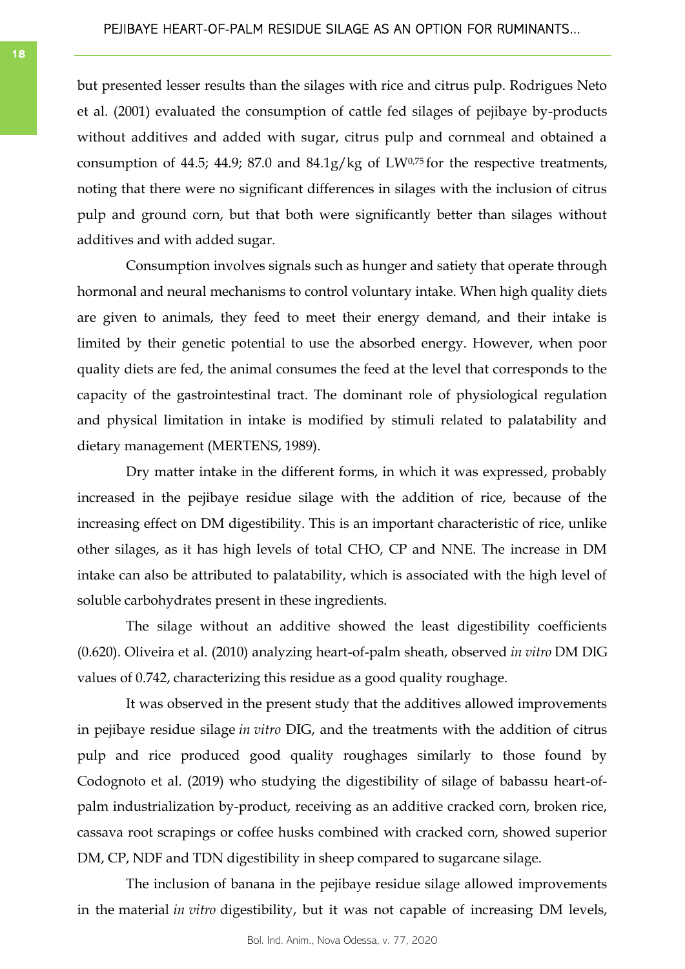but presented lesser results than the silages with rice and citrus pulp. Rodrigues Neto et al. (2001) evaluated the consumption of cattle fed silages of pejibaye by-products without additives and added with sugar, citrus pulp and cornmeal and obtained a consumption of 44.5; 44.9; 87.0 and 84.1g/kg of LW0,75 for the respective treatments, noting that there were no significant differences in silages with the inclusion of citrus pulp and ground corn, but that both were significantly better than silages without additives and with added sugar.

Consumption involves signals such as hunger and satiety that operate through hormonal and neural mechanisms to control voluntary intake. When high quality diets are given to animals, they feed to meet their energy demand, and their intake is limited by their genetic potential to use the absorbed energy. However, when poor quality diets are fed, the animal consumes the feed at the level that corresponds to the capacity of the gastrointestinal tract. The dominant role of physiological regulation and physical limitation in intake is modified by stimuli related to palatability and dietary management (MERTENS, 1989).

Dry matter intake in the different forms, in which it was expressed, probably increased in the pejibaye residue silage with the addition of rice, because of the increasing effect on DM digestibility. This is an important characteristic of rice, unlike other silages, as it has high levels of total CHO, CP and NNE. The increase in DM intake can also be attributed to palatability, which is associated with the high level of soluble carbohydrates present in these ingredients.

The silage without an additive showed the least digestibility coefficients (0.620). Oliveira et al. (2010) analyzing heart-of-palm sheath, observed *in vitro* DM DIG values of 0.742, characterizing this residue as a good quality roughage.

It was observed in the present study that the additives allowed improvements in pejibaye residue silage *in vitro* DIG, and the treatments with the addition of citrus pulp and rice produced good quality roughages similarly to those found by Codognoto et al. (2019) who studying the digestibility of silage of babassu heart-ofpalm industrialization by-product, receiving as an additive cracked corn, broken rice, cassava root scrapings or coffee husks combined with cracked corn, showed superior DM, CP, NDF and TDN digestibility in sheep compared to sugarcane silage.

The inclusion of banana in the pejibaye residue silage allowed improvements in the material *in vitro* digestibility, but it was not capable of increasing DM levels,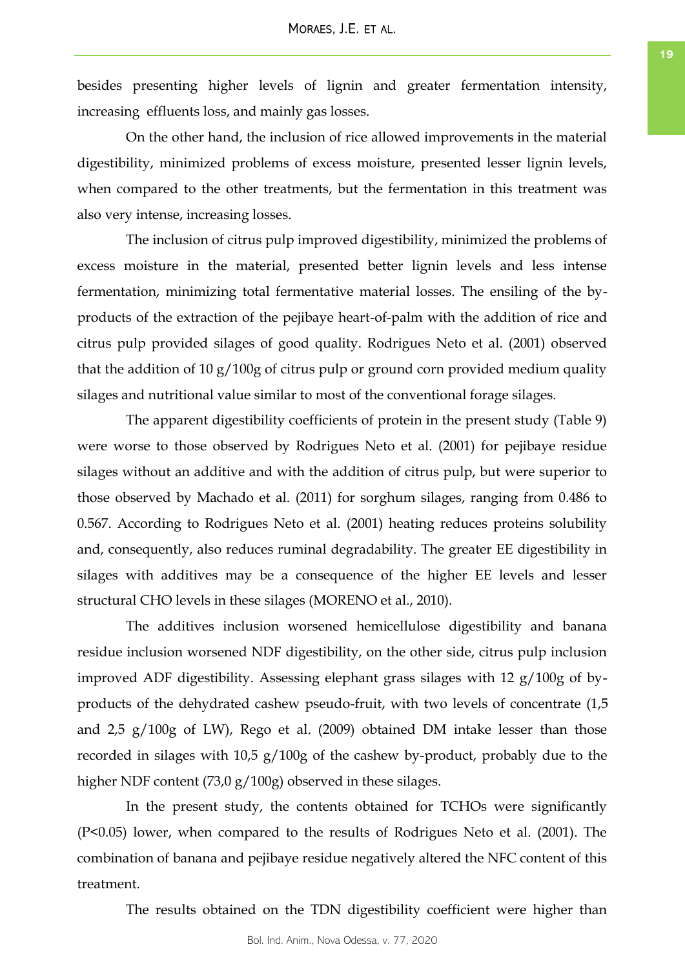besides presenting higher levels of lignin and greater fermentation intensity, increasing effluents loss, and mainly gas losses.

On the other hand, the inclusion of rice allowed improvements in the material digestibility, minimized problems of excess moisture, presented lesser lignin levels, when compared to the other treatments, but the fermentation in this treatment was also very intense, increasing losses.

The inclusion of citrus pulp improved digestibility, minimized the problems of excess moisture in the material, presented better lignin levels and less intense fermentation, minimizing total fermentative material losses. The ensiling of the byproducts of the extraction of the pejibaye heart-of-palm with the addition of rice and citrus pulp provided silages of good quality. Rodrigues Neto et al. (2001) observed that the addition of 10 g/100g of citrus pulp or ground corn provided medium quality silages and nutritional value similar to most of the conventional forage silages.

The apparent digestibility coefficients of protein in the present study (Table 9) were worse to those observed by Rodrigues Neto et al. (2001) for pejibaye residue silages without an additive and with the addition of citrus pulp, but were superior to those observed by Machado et al. (2011) for sorghum silages, ranging from 0.486 to 0.567. According to Rodrigues Neto et al. (2001) heating reduces proteins solubility and, consequently, also reduces ruminal degradability. The greater EE digestibility in silages with additives may be a consequence of the higher EE levels and lesser structural CHO levels in these silages (MORENO et al., 2010).

The additives inclusion worsened hemicellulose digestibility and banana residue inclusion worsened NDF digestibility, on the other side, citrus pulp inclusion improved ADF digestibility. Assessing elephant grass silages with 12 g/100g of byproducts of the dehydrated cashew pseudo-fruit, with two levels of concentrate (1,5 and 2,5 g/100g of LW), Rego et al. (2009) obtained DM intake lesser than those recorded in silages with 10,5 g/100g of the cashew by-product, probably due to the higher NDF content (73,0 g/100g) observed in these silages.

In the present study, the contents obtained for TCHOs were significantly (P<0.05) lower, when compared to the results of Rodrigues Neto et al. (2001). The combination of banana and pejibaye residue negatively altered the NFC content of this treatment.

The results obtained on the TDN digestibility coefficient were higher than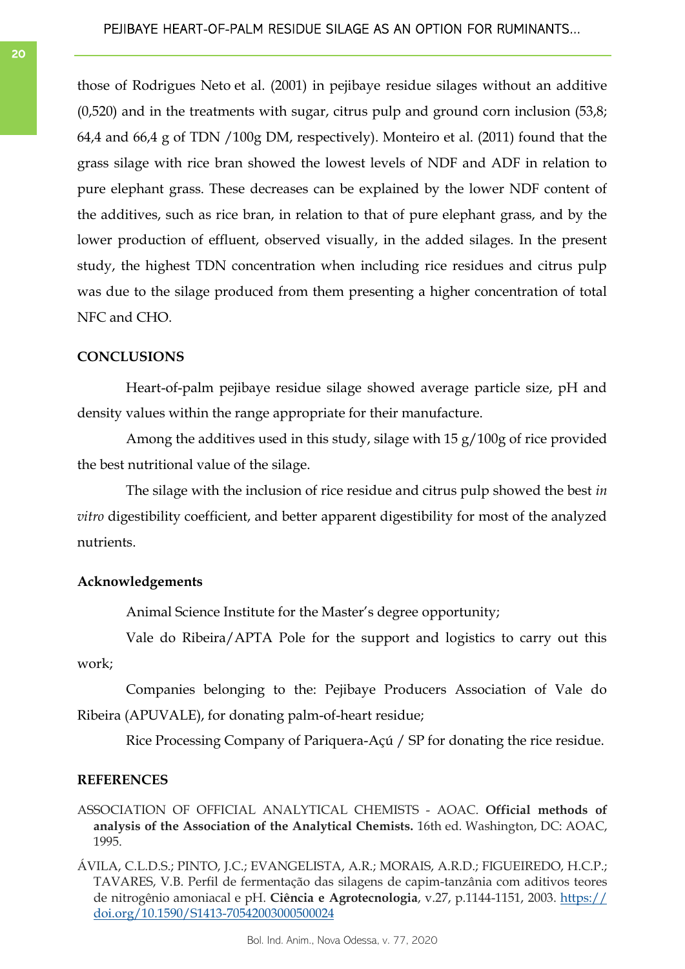those of Rodrigues Neto et al. (2001) in pejibaye residue silages without an additive (0,520) and in the treatments with sugar, citrus pulp and ground corn inclusion (53,8; 64,4 and 66,4 g of TDN /100g DM, respectively). Monteiro et al. (2011) found that the grass silage with rice bran showed the lowest levels of NDF and ADF in relation to pure elephant grass. These decreases can be explained by the lower NDF content of the additives, such as rice bran, in relation to that of pure elephant grass, and by the lower production of effluent, observed visually, in the added silages. In the present study, the highest TDN concentration when including rice residues and citrus pulp was due to the silage produced from them presenting a higher concentration of total NFC and CHO.

# **CONCLUSIONS**

Heart-of-palm pejibaye residue silage showed average particle size, pH and density values within the range appropriate for their manufacture.

Among the additives used in this study, silage with 15 g/100g of rice provided the best nutritional value of the silage.

The silage with the inclusion of rice residue and citrus pulp showed the best *in vitro* digestibility coefficient, and better apparent digestibility for most of the analyzed nutrients.

## **Acknowledgements**

Animal Science Institute for the Master's degree opportunity;

Vale do Ribeira/APTA Pole for the support and logistics to carry out this work;

Companies belonging to the: Pejibaye Producers Association of Vale do Ribeira (APUVALE), for donating palm-of-heart residue;

Rice Processing Company of Pariquera-Açú / SP for donating the rice residue.

## **REFERENCES**

ASSOCIATION OF OFFICIAL ANALYTICAL CHEMISTS - AOAC. **Official methods of analysis of the Association of the Analytical Chemists.** 16th ed. Washington, DC: AOAC, 1995.

ÁVILA, C.L.D.S.; PINTO, J.C.; EVANGELISTA, A.R.; MORAIS, A.R.D.; FIGUEIREDO, H.C.P.; TAVARES, V.B. Perfil de fermentação das silagens de capim-tanzânia com aditivos teores de nitrogênio amoniacal e pH. **Ciência e Agrotecnologia**, v.27, p.1144-1151, 2003. [https://](https://doi.org/10.1590/S1413-70542003000500024) [doi.org/10.1590/S1413-70542003000500024](https://doi.org/10.1590/S1413-70542003000500024)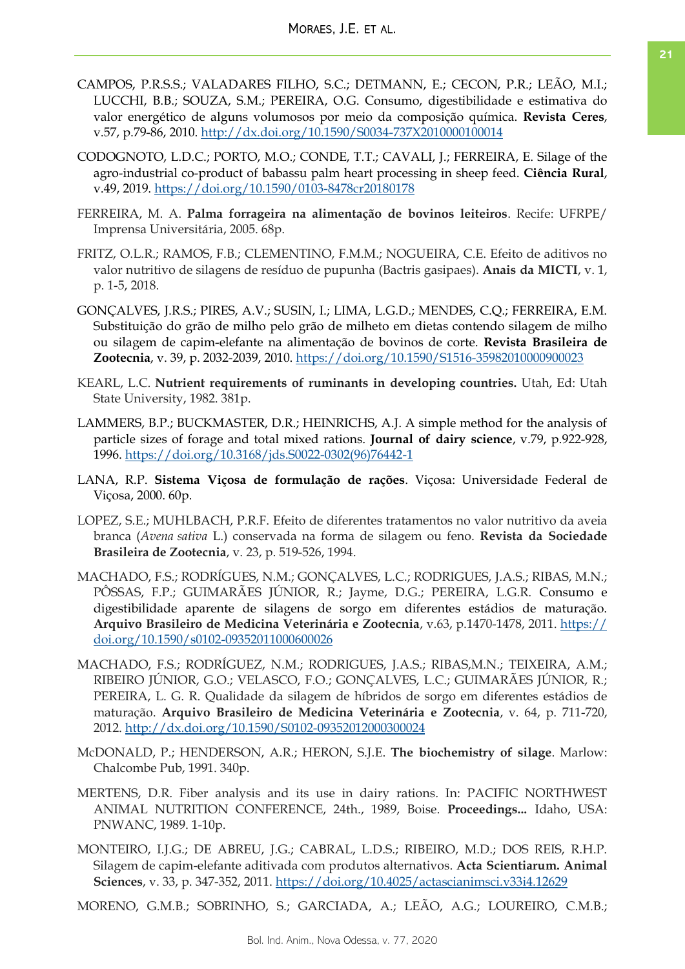- CAMPOS, P.R.S.S.; VALADARES FILHO, S.C.; DETMANN, E.; CECON, P.R.; LEÃO, M.I.; LUCCHI, B.B.; SOUZA, S.M.; PEREIRA, O.G. Consumo, digestibilidade e estimativa do valor energético de alguns volumosos por meio da composição química. **Revista Ceres**, v.57, p.79-86, 2010. <http://dx.doi.org/10.1590/S0034-737X2010000100014>
- CODOGNOTO, L.D.C.; PORTO, M.O.; CONDE, T.T.; CAVALI, J.; FERREIRA, E. Silage of the agro-industrial co-product of babassu palm heart processing in sheep feed. **Ciência Rural**, v.49, 2019.<https://doi.org/10.1590/0103-8478cr20180178>
- FERREIRA, M. A. **Palma forrageira na alimentação de bovinos leiteiros**. Recife: UFRPE/ Imprensa Universitária, 2005. 68p.
- FRITZ, O.L.R.; RAMOS, F.B.; CLEMENTINO, F.M.M.; NOGUEIRA, C.E. Efeito de aditivos no valor nutritivo de silagens de resíduo de pupunha (Bactris gasipaes). **Anais da MICTI**, v. 1, p. 1-5, 2018.
- GONÇALVES, J.R.S.; PIRES, A.V.; SUSIN, I.; LIMA, L.G.D.; MENDES, C.Q.; FERREIRA, E.M. Substituição do grão de milho pelo grão de milheto em dietas contendo silagem de milho ou silagem de capim-elefante na alimentação de bovinos de corte. **Revista Brasileira de**  Zootecnia, v. 39, p. 2032-2039, 2010.<https://doi.org/10.1590/S1516-35982010000900023>
- KEARL, L.C. **Nutrient requirements of ruminants in developing countries.** Utah, Ed: Utah State University, 1982. 381p.
- LAMMERS, B.P.; BUCKMASTER, D.R.; HEINRICHS, A.J. A simple method for the analysis of particle sizes of forage and total mixed rations. **Journal of dairy science**, v.79, p.922-928, 1996. [https://doi.org/10.3168/jds.S0022-0302\(96\)76442-1](https://doi.org/10.3168/jds.S0022-0302(96)76442-1)
- LANA, R.P. **Sistema Viçosa de formulação de rações**. Viçosa: Universidade Federal de Viçosa, 2000. 60p.
- LOPEZ, S.E.; MUHLBACH, P.R.F. Efeito de diferentes tratamentos no valor nutritivo da aveia branca (*Avena sativa* L.) conservada na forma de silagem ou feno. **Revista da Sociedade Brasileira de Zootecnia**, v. 23, p. 519-526, 1994.
- MACHADO, F.S.; RODRÍGUES, N.M.; GONÇALVES, L.C.; RODRIGUES, J.A.S.; RIBAS, M.N.; PÔSSAS, F.P.; GUIMARÃES JÚNIOR, R.; Jayme, D.G.; PEREIRA, L.G.R. Consumo e digestibilidade aparente de silagens de sorgo em diferentes estádios de maturação. **Arquivo Brasileiro de Medicina Veterinária e Zootecnia**, v.63, p.1470-1478, 2011. [https://](https://doi.org/10.1590/s0102-09352011000600026) [doi.org/10.1590/s0102-09352011000600026](https://doi.org/10.1590/s0102-09352011000600026)
- MACHADO, F.S.; RODRÍGUEZ, N.M.; RODRIGUES, J.A.S.; RIBAS,M.N.; TEIXEIRA, A.M.; RIBEIRO JÚNIOR, G.O.; VELASCO, F.O.; GONÇALVES, L.C.; GUIMARÃES JÚNIOR, R.; PEREIRA, L. G. R. Qualidade da silagem de híbridos de sorgo em diferentes estádios de maturação. **Arquivo Brasileiro de Medicina Veterinária e Zootecnia**, v. 64, p. 711-720, 2012. <http://dx.doi.org/10.1590/S0102-09352012000300024>
- McDONALD, P.; HENDERSON, A.R.; HERON, S.J.E. **The biochemistry of silage**. Marlow: Chalcombe Pub, 1991. 340p.
- MERTENS, D.R. Fiber analysis and its use in dairy rations. In: PACIFIC NORTHWEST ANIMAL NUTRITION CONFERENCE, 24th., 1989, Boise. **Proceedings...** Idaho, USA: PNWANC, 1989. 1-10p.
- MONTEIRO, I.J.G.; DE ABREU, J.G.; CABRAL, L.D.S.; RIBEIRO, M.D.; DOS REIS, R.H.P. Silagem de capim-elefante aditivada com produtos alternativos. **Acta Scientiarum. Animal Sciences**, v. 33, p. 347-352, 2011. <https://doi.org/10.4025/actascianimsci.v33i4.12629>

MORENO, G.M.B.; SOBRINHO, S.; GARCIADA, A.; LEÃO, A.G.; LOUREIRO, C.M.B.;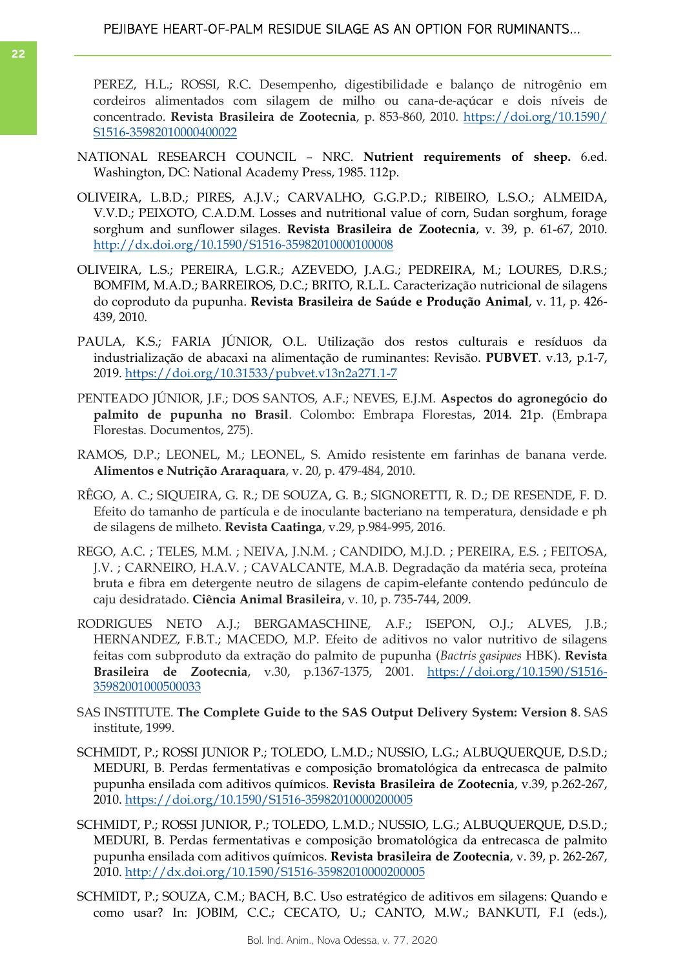PEREZ, H.L.; ROSSI, R.C. Desempenho, digestibilidade e balanço de nitrogênio em cordeiros alimentados com silagem de milho ou cana-de-açúcar e dois níveis de concentrado. **Revista Brasileira de Zootecnia**, p. 853-860, 2010. [https://doi.org/10.1590/](https://doi.org/10.1590/S1516-35982010000400022) [S1516-35982010000400022](https://doi.org/10.1590/S1516-35982010000400022)

- NATIONAL RESEARCH COUNCIL NRC. **Nutrient requirements of sheep.** 6.ed. Washington, DC: National Academy Press, 1985. 112p.
- OLIVEIRA, L.B.D.; PIRES, A.J.V.; CARVALHO, G.G.P.D.; RIBEIRO, L.S.O.; ALMEIDA, V.V.D.; PEIXOTO, C.A.D.M. Losses and nutritional value of corn, Sudan sorghum, forage sorghum and sunflower silages. **Revista Brasileira de Zootecnia**, v. 39, p. 61-67, 2010. <http://dx.doi.org/10.1590/S1516-35982010000100008>
- OLIVEIRA, L.S.; PEREIRA, L.G.R.; AZEVEDO, J.A.G.; PEDREIRA, M.; LOURES, D.R.S.; BOMFIM, M.A.D.; BARREIROS, D.C.; BRITO, R.L.L. Caracterização nutricional de silagens do coproduto da pupunha. **Revista Brasileira de Saúde e Produção Animal**, v. 11, p. 426- 439, 2010.
- PAULA, K.S.; FARIA JÚNIOR, O.L. Utilização dos restos culturais e resíduos da industrialização de abacaxi na alimentação de ruminantes: Revisão. **PUBVET**. v.13, p.1-7, 2019. <https://doi.org/10.31533/pubvet.v13n2a271.1-7>
- PENTEADO JÚNIOR, J.F.; DOS SANTOS, A.F.; NEVES, E.J.M. **Aspectos do agronegócio do palmito de pupunha no Brasil**. Colombo: Embrapa Florestas, 2014. 21p. (Embrapa Florestas. Documentos, 275).
- RAMOS, D.P.; LEONEL, M.; LEONEL, S. Amido resistente em farinhas de banana verde. **Alimentos e Nutrição Araraquara**, v. 20, p. 479-484, 2010.
- RÊGO, A. C.; SIQUEIRA, G. R.; DE SOUZA, G. B.; SIGNORETTI, R. D.; DE RESENDE, F. D. Efeito do tamanho de partícula e de inoculante bacteriano na temperatura, densidade e ph de silagens de milheto. **Revista Caatinga**, v.29, p.984-995, 2016.
- REGO, A.C. ; TELES, M.M. ; NEIVA, J.N.M. ; CANDIDO, M.J.D. ; PEREIRA, E.S. ; FEITOSA, J.V. ; CARNEIRO, H.A.V. ; CAVALCANTE, M.A.B. Degradação da matéria seca, proteína bruta e fibra em detergente neutro de silagens de capim-elefante contendo pedúnculo de caju desidratado. **Ciência Animal Brasileira**, v. 10, p. 735-744, 2009.
- RODRIGUES NETO A.J.; BERGAMASCHINE, A.F.; ISEPON, O.J.; ALVES, J.B.; HERNANDEZ, F.B.T.; MACEDO, M.P. Efeito de aditivos no valor nutritivo de silagens feitas com subproduto da extração do palmito de pupunha (*Bactris gasipaes* HBK). **Revista Brasileira de Zootecnia**, v.30, p.1367-1375, 2001. [https://doi.org/10.1590/S1516-](https://doi.org/10.1590/S1516-35982001000500033) [35982001000500033](https://doi.org/10.1590/S1516-35982001000500033)
- SAS INSTITUTE. **The Complete Guide to the SAS Output Delivery System: Version 8**. SAS institute, 1999.
- SCHMIDT, P.; ROSSI JUNIOR P.; TOLEDO, L.M.D.; NUSSIO, L.G.; ALBUQUERQUE, D.S.D.; MEDURI, B. Perdas fermentativas e composição bromatológica da entrecasca de palmito pupunha ensilada com aditivos químicos. **Revista Brasileira de Zootecnia**, v.39, p.262-267, 2010. <https://doi.org/10.1590/S1516-35982010000200005>
- SCHMIDT, P.; ROSSI JUNIOR, P.; TOLEDO, L.M.D.; NUSSIO, L.G.; ALBUQUERQUE, D.S.D.; MEDURI, B. Perdas fermentativas e composição bromatológica da entrecasca de palmito pupunha ensilada com aditivos químicos. **Revista brasileira de Zootecnia**, v. 39, p. 262-267, 2010. <http://dx.doi.org/10.1590/S1516-35982010000200005>
- SCHMIDT, P.; SOUZA, C.M.; BACH, B.C. Uso estratégico de aditivos em silagens: Quando e como usar? In: JOBIM, C.C.; CECATO, U.; CANTO, M.W.; BANKUTI, F.I (eds.),